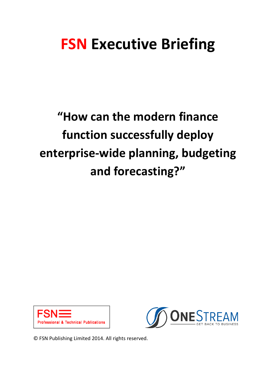# **FSN Executive Briefing**

**"How can the modern finance function successfully deploy enterprise-wide planning, budgeting and forecasting?"**





© FSN Publishing Limited 2014. All rights reserved.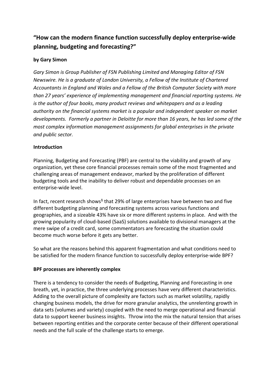## **"How can the modern finance function successfully deploy enterprise-wide planning, budgeting and forecasting?"**

## **by Gary Simon**

*Gary Simon is Group Publisher of FSN Publishing Limited and Managing Editor of FSN Newswire. He is a graduate of London University, a Fellow of the Institute of Chartered Accountants in England and Wales and a Fellow of the British Computer Society with more than 27 years' experience of implementing management and financial reporting systems. He is the author of four books, many product reviews and whitepapers and as a leading authority on the financial systems market is a popular and independent speaker on market developments. Formerly a partner in Deloitte for more than 16 years, he has led some of the most complex information management assignments for global enterprises in the private and public sector.*

### **Introduction**

Planning, Budgeting and Forecasting (PBF) are central to the viability and growth of any organization, yet these core financial processes remain some of the most fragmented and challenging areas of management endeavor, marked by the proliferation of different budgeting tools and the inability to deliver robust and dependable processes on an enterprise-wide level.

In fact, recent research shows<sup>1</sup> that 29% of large enterprises have between two and five different budgeting planning and forecasting systems across various functions and geographies, and a sizeable 43% have six or more different systems in place. And with the growing popularity of cloud-based (SaaS) solutions available to divisional managers at the mere swipe of a credit card, some commentators are forecasting the situation could become much worse before it gets any better.

So what are the reasons behind this apparent fragmentation and what conditions need to be satisfied for the modern finance function to successfully deploy enterprise-wide BPF?

### **BPF processes are inherently complex**

There is a tendency to consider the needs of Budgeting, Planning and Forecasting in one breath, yet, in practice, the three underlying processes have very different characteristics. Adding to the overall picture of complexity are factors such as market volatility, rapidly changing business models, the drive for more granular analytics, the unrelenting growth in data sets (volumes and variety) coupled with the need to merge operational and financial data to support keener business insights. Throw into the mix the natural tension that arises between reporting entities and the corporate center because of their different operational needs and the full scale of the challenge starts to emerge.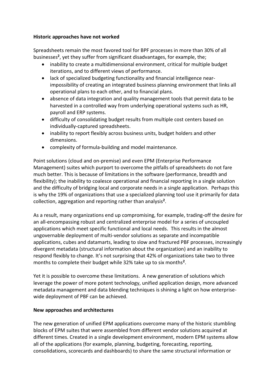#### **Historic approaches have not worked**

Spreadsheets remain the most favored tool for BPF processes in more than 30% of all businesses**<sup>2</sup>** , yet they suffer from significant disadvantages, for example, the;

- inability to create a multidimensional environment, critical for multiple budget iterations, and to different views of performance.
- lack of specialized budgeting functionality and financial intelligence nearimpossibility of creating an integrated business planning environment that links all operational plans to each other, and to financial plans.
- absence of data integration and quality management tools that permit data to be harvested in a controlled way from underlying operational systems such as HR, payroll and ERP systems.
- difficulty of consolidating budget results from multiple cost centers based on individually-captured spreadsheets.
- inability to report flexibly across business units, budget holders and other dimensions.
- complexity of formula-building and model maintenance.

Point solutions (cloud and on-premise) and even EPM (Enterprise Performance Management) suites which purport to overcome the pitfalls of spreadsheets do not fare much better. This is because of limitations in the software (performance, breadth and flexibility); the inability to coalesce operational and financial reporting in a single solution and the difficulty of bridging local and corporate needs in a single application. Perhaps this is why the 19% of organizations that use a specialized planning tool use it primarily for data collection, aggregation and reporting rather than analysis**<sup>2</sup>** .

As a result, many organizations end up compromising, for example, trading-off the desire for an all-encompassing robust and centralized enterprise model for a series of uncoupled applications which meet specific functional and local needs. This results in the almost ungovernable deployment of multi-vendor solutions as separate and incompatible applications, cubes and datamarts, leading to slow and fractured PBF processes, increasingly divergent metadata (structural information about the organization) and an inability to respond flexibly to change. It's not surprising that 42% of organizations take two to three months to complete their budget while 32% take up to six months**<sup>2</sup>** .

Yet it is possible to overcome these limitations. A new generation of solutions which leverage the power of more potent technology, unified application design, more advanced metadata management and data blending techniques is shining a light on how enterprisewide deployment of PBF can be achieved.

#### **New approaches and architectures**

The new generation of unified EPM applications overcome many of the historic stumbling blocks of EPM suites that were assembled from different vendor solutions acquired at different times. Created in a single development environment, modern EPM systems allow all of the applications (for example, planning, budgeting, forecasting, reporting, consolidations, scorecards and dashboards) to share the same structural information or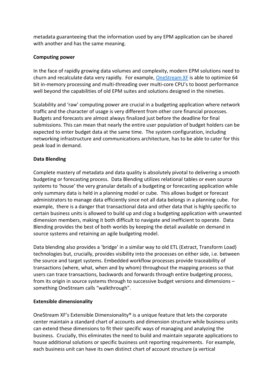metadata guaranteeing that the information used by any EPM application can be shared with another and has the same meaning.

#### **Computing power**

In the face of rapidly growing data volumes and complexity, modern EPM solutions need to churn and recalculate data very rapidly. For example, [OneStream XF](http://www.onestreamsoftware.com/) is able to optimize 64 bit in-memory processing and multi-threading over multi-core CPU's to boost performance well beyond the capabilities of old EPM suites and solutions designed in the nineties.

Scalability and 'raw' computing power are crucial in a budgeting application where network traffic and the character of usage is very different from other core financial processes. Budgets and forecasts are almost always finalized just before the deadline for final submissions. This can mean that nearly the entire user population of budget holders can be expected to enter budget data at the same time. The system configuration, including networking infrastructure and communications architecture, has to be able to cater for this peak load in demand.

#### **Data Blending**

Complete mastery of metadata and data quality is absolutely pivotal to delivering a smooth budgeting or forecasting process. Data Blending utilizes relational tables or even source systems to 'house' the very granular details of a budgeting or forecasting application while only summary data is held in a planning model or cube. This allows budget or forecast administrators to manage data efficiently since not all data belongs in a planning cube. For example, there is a danger that transactional data and other data that is highly specific to certain business units is allowed to build up and clog a budgeting application with unwanted dimension members, making it both difficult to navigate and inefficient to operate. Data Blending provides the best of both worlds by keeping the detail available on demand in source systems and retaining an agile budgeting model.

Data blending also provides a 'bridge' in a similar way to old ETL (Extract, Transform Load) technologies but, crucially, provides visibility into the processes on either side, i.e. between the source and target systems. Embedded workflow processes provide traceability of transactions (where, what, when and by whom) throughout the mapping process so that users can trace transactions, backwards and forwards through entire budgeting process, from its origin in source systems through to successive budget versions and dimensions – something OneStream calls "walkthrough".

#### **Extensible dimensionality**

OneStream XF's Extensible Dimensionality® is a unique feature that lets the corporate center maintain a standard chart of accounts and dimension structure while business units can extend these dimensions to fit their specific ways of managing and analyzing the business. Crucially, this eliminates the need to build and maintain separate applications to house additional solutions or specific business unit reporting requirements. For example, each business unit can have its own distinct chart of account structure (a vertical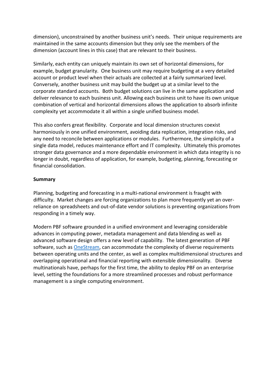dimension), unconstrained by another business unit's needs. Their unique requirements are maintained in the same accounts dimension but they only see the members of the dimension (account lines in this case) that are relevant to their business.

Similarly, each entity can uniquely maintain its own set of horizontal dimensions, for example, budget granularity. One business unit may require budgeting at a very detailed account or product level when their actuals are collected at a fairly summarized level. Conversely, another business unit may build the budget up at a similar level to the corporate standard accounts. Both budget solutions can live in the same application and deliver relevance to each business unit. Allowing each business unit to have its own unique combination of vertical and horizontal dimensions allows the application to absorb infinite complexity yet accommodate it all within a single unified business model.

This also confers great flexibility. Corporate and local dimension structures coexist harmoniously in one unified environment, avoiding data replication, integration risks, and any need to reconcile between applications or modules. Furthermore, the simplicity of a single data model, reduces maintenance effort and IT complexity. Ultimately this promotes stronger data governance and a more dependable environment in which data integrity is no longer in doubt, regardless of application, for example, budgeting, planning, forecasting or financial consolidation.

#### **Summary**

Planning, budgeting and forecasting in a multi-national environment is fraught with difficulty. Market changes are forcing organizations to plan more frequently yet an overreliance on spreadsheets and out-of-date vendor solutions is preventing organizations from responding in a timely way.

Modern PBF software grounded in a unified environment and leveraging considerable advances in computing power, metadata management and data blending as well as advanced software design offers a new level of capability. The latest generation of PBF software, such as [OneStream,](http://www.onestreamsoftware.com/) can accommodate the complexity of diverse requirements between operating units and the center, as well as complex multidimensional structures and overlapping operational and financial reporting with extensible dimensionality. Diverse multinationals have, perhaps for the first time, the ability to deploy PBF on an enterprise level, setting the foundations for a more streamlined processes and robust performance management is a single computing environment.